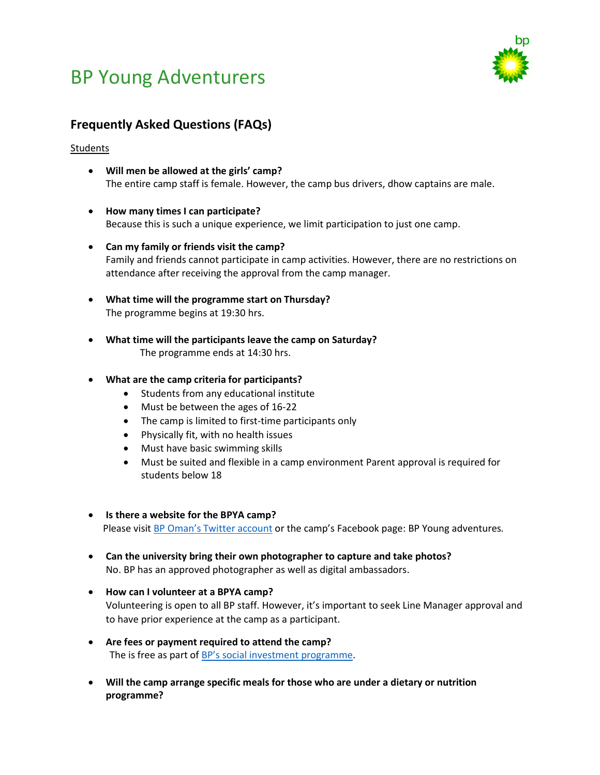# BP Young Adventurers



# **Frequently Asked Questions (FAQs)**

### **Students**

- **Will men be allowed at the girls' camp?**  The entire camp staff is female. However, the camp bus drivers, dhow captains are male.
- **How many times I can participate?**  Because this is such a unique experience, we limit participation to just one camp.
- **Can my family or friends visit the camp?**  Family and friends cannot participate in camp activities. However, there are no restrictions on attendance after receiving the approval from the camp manager.
- **What time will the programme start on Thursday?** The programme begins at 19:30 hrs.
- **What time will the participants leave the camp on Saturday?**  The programme ends at 14:30 hrs.

### • **What are the camp criteria for participants?**

- Students from any educational institute
- Must be between the ages of 16-22
- The camp is limited to first-time participants only
- Physically fit, with no health issues
- Must have basic swimming skills
- Must be suited and flexible in a camp environment Parent approval is required for students below 18
- **Is there a website for the BPYA camp?**  Please visit BP [Oman's Twitter account](https://twitter.com/BP_Oman) or the camp's Facebook page: BP Young adventures*.*
- **Can the university bring their own photographer to capture and take photos?** No. BP has an approved photographer as well as digital ambassadors.
- **How can I volunteer at a BPYA camp?** Volunteering is open to all BP staff. However, it's important to seek Line Manager approval and to have prior experience at the camp as a participant.
- **Are fees or payment required to attend the camp?** The is free as part of BP's [social investment programme.](https://www.bp.com/en/global/corporate/what-we-do/bp-worldwide/bp-in-oman.html)
- **Will the camp arrange specific meals for those who are under a dietary or nutrition programme?**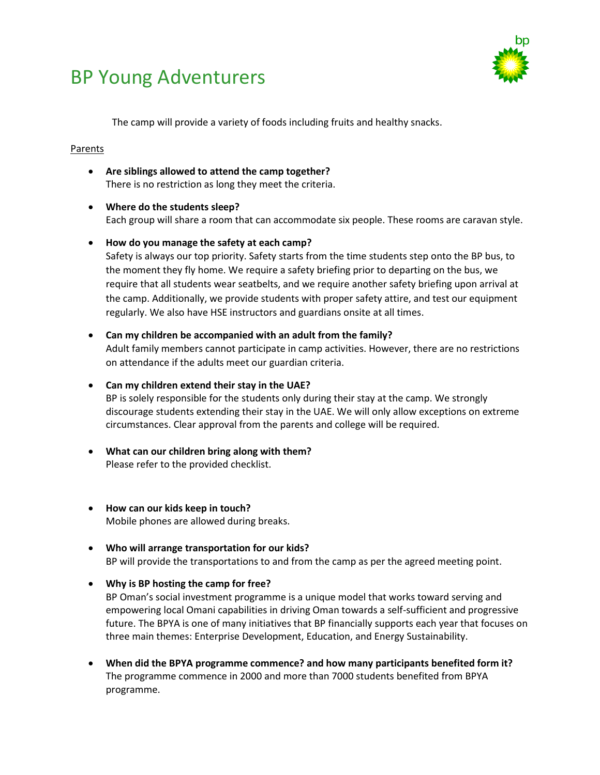# BP Young Adventurers



The camp will provide a variety of foods including fruits and healthy snacks.

### Parents

- **Are siblings allowed to attend the camp together?**  There is no restriction as long they meet the criteria.
- **Where do the students sleep?**  Each group will share a room that can accommodate six people. These rooms are caravan style.
- **How do you manage the safety at each camp?**  Safety is always our top priority. Safety starts from the time students step onto the BP bus, to

the moment they fly home. We require a safety briefing prior to departing on the bus, we require that all students wear seatbelts, and we require another safety briefing upon arrival at the camp. Additionally, we provide students with proper safety attire, and test our equipment regularly. We also have HSE instructors and guardians onsite at all times.

• **Can my children be accompanied with an adult from the family?** Adult family members cannot participate in camp activities. However, there are no restrictions on attendance if the adults meet our guardian criteria.

## • **Can my children extend their stay in the UAE?**

BP is solely responsible for the students only during their stay at the camp. We strongly discourage students extending their stay in the UAE. We will only allow exceptions on extreme circumstances. Clear approval from the parents and college will be required.

- **What can our children bring along with them?** Please refer to the provided checklist.
- **How can our kids keep in touch?** Mobile phones are allowed during breaks.
- **Who will arrange transportation for our kids?** BP will provide the transportations to and from the camp as per the agreed meeting point.
- **Why is BP hosting the camp for free?**

BP Oman's social investment programme is a unique model that works toward serving and empowering local Omani capabilities in driving Oman towards a self-sufficient and progressive future. The BPYA is one of many initiatives that BP financially supports each year that focuses on three main themes: Enterprise Development, Education, and Energy Sustainability.

• **When did the BPYA programme commence? and how many participants benefited form it?**  The programme commence in 2000 and more than 7000 students benefited from BPYA programme.